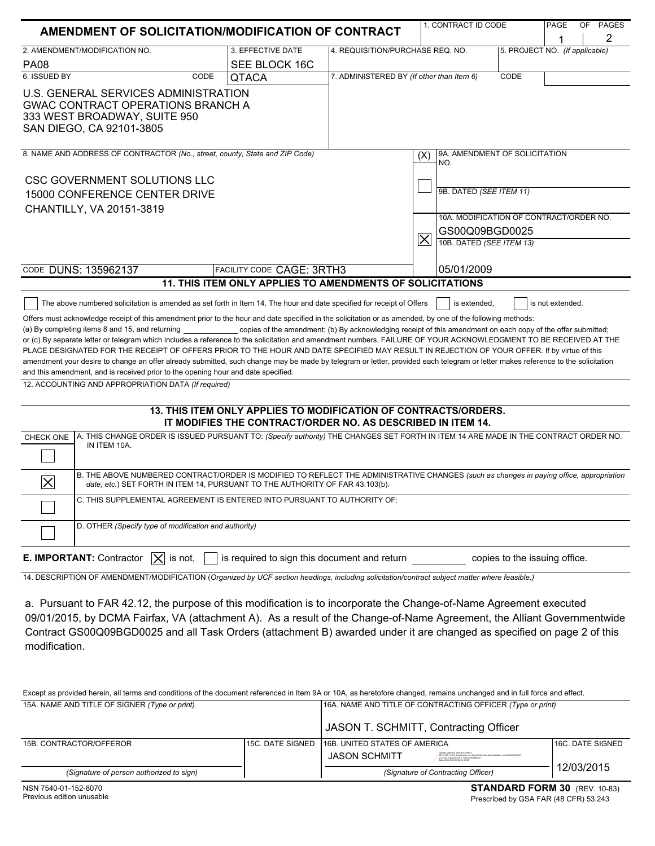|                                                                                                                                                                                                                                                                                                                                                                         |                                                                                                                                |                                                   | 1. CONTRACT ID CODE                         | PAGE                           | OF               | <b>PAGES</b> |   |
|-------------------------------------------------------------------------------------------------------------------------------------------------------------------------------------------------------------------------------------------------------------------------------------------------------------------------------------------------------------------------|--------------------------------------------------------------------------------------------------------------------------------|---------------------------------------------------|---------------------------------------------|--------------------------------|------------------|--------------|---|
| AMENDMENT OF SOLICITATION/MODIFICATION OF CONTRACT                                                                                                                                                                                                                                                                                                                      |                                                                                                                                |                                                   |                                             |                                |                  |              | 2 |
| 2. AMENDMENT/MODIFICATION NO.                                                                                                                                                                                                                                                                                                                                           | 3. EFFECTIVE DATE                                                                                                              | 4. REQUISITION/PURCHASE REQ. NO.                  |                                             | 5. PROJECT NO. (If applicable) |                  |              |   |
| <b>PA08</b>                                                                                                                                                                                                                                                                                                                                                             | SEE BLOCK 16C                                                                                                                  |                                                   |                                             |                                |                  |              |   |
| 6. ISSUED BY<br>CODE                                                                                                                                                                                                                                                                                                                                                    | <b>QTACA</b>                                                                                                                   | 7. ADMINISTERED BY (If other than Item 6)<br>CODE |                                             |                                |                  |              |   |
| U.S. GENERAL SERVICES ADMINISTRATION<br><b>GWAC CONTRACT OPERATIONS BRANCH A</b><br>333 WEST BROADWAY, SUITE 950<br>SAN DIEGO, CA 92101-3805                                                                                                                                                                                                                            |                                                                                                                                |                                                   |                                             |                                |                  |              |   |
| 8. NAME AND ADDRESS OF CONTRACTOR (No., street, county, State and ZIP Code)                                                                                                                                                                                                                                                                                             |                                                                                                                                |                                                   | 9A. AMENDMENT OF SOLICITATION<br>(X)<br>NO. |                                |                  |              |   |
| <b>CSC GOVERNMENT SOLUTIONS LLC</b>                                                                                                                                                                                                                                                                                                                                     |                                                                                                                                |                                                   |                                             |                                |                  |              |   |
| 15000 CONFERENCE CENTER DRIVE                                                                                                                                                                                                                                                                                                                                           |                                                                                                                                |                                                   | 9B. DATED (SEE ITEM 11)                     |                                |                  |              |   |
| CHANTILLY, VA 20151-3819                                                                                                                                                                                                                                                                                                                                                |                                                                                                                                |                                                   |                                             |                                |                  |              |   |
|                                                                                                                                                                                                                                                                                                                                                                         |                                                                                                                                |                                                   | 10A. MODIFICATION OF CONTRACT/ORDER NO.     |                                |                  |              |   |
|                                                                                                                                                                                                                                                                                                                                                                         |                                                                                                                                |                                                   |                                             | GS00Q09BGD0025                 |                  |              |   |
|                                                                                                                                                                                                                                                                                                                                                                         |                                                                                                                                |                                                   | $\boldsymbol{\times}$                       | 10B. DATED (SEE ITEM 13)       |                  |              |   |
| CODE DUNS: 135962137                                                                                                                                                                                                                                                                                                                                                    | <b>FACILITY CODE CAGE: 3RTH3</b>                                                                                               | 05/01/2009                                        |                                             |                                |                  |              |   |
|                                                                                                                                                                                                                                                                                                                                                                         | 11. THIS ITEM ONLY APPLIES TO AMENDMENTS OF SOLICITATIONS                                                                      |                                                   |                                             |                                |                  |              |   |
|                                                                                                                                                                                                                                                                                                                                                                         |                                                                                                                                |                                                   |                                             |                                | is not extended. |              |   |
| The above numbered solicitation is amended as set forth in Item 14. The hour and date specified for receipt of Offers                                                                                                                                                                                                                                                   |                                                                                                                                |                                                   | is extended.                                |                                |                  |              |   |
| Offers must acknowledge receipt of this amendment prior to the hour and date specified in the solicitation or as amended, by one of the following methods:<br>(a) By completing items 8 and 15, and returning ______________ copies of the amendment; (b) By acknowledging receipt of this amendment on each copy of the offer submitted;                               |                                                                                                                                |                                                   |                                             |                                |                  |              |   |
| or (c) By separate letter or telegram which includes a reference to the solicitation and amendment numbers. FAILURE OF YOUR ACKNOWLEDGMENT TO BE RECEIVED AT THE                                                                                                                                                                                                        |                                                                                                                                |                                                   |                                             |                                |                  |              |   |
| PLACE DESIGNATED FOR THE RECEIPT OF OFFERS PRIOR TO THE HOUR AND DATE SPECIFIED MAY RESULT IN REJECTION OF YOUR OFFER. If by virtue of this                                                                                                                                                                                                                             |                                                                                                                                |                                                   |                                             |                                |                  |              |   |
| amendment your desire to change an offer already submitted, such change may be made by telegram or letter, provided each telegram or letter makes reference to the solicitation                                                                                                                                                                                         |                                                                                                                                |                                                   |                                             |                                |                  |              |   |
| and this amendment, and is received prior to the opening hour and date specified.                                                                                                                                                                                                                                                                                       |                                                                                                                                |                                                   |                                             |                                |                  |              |   |
| 12. ACCOUNTING AND APPROPRIATION DATA (If required)                                                                                                                                                                                                                                                                                                                     |                                                                                                                                |                                                   |                                             |                                |                  |              |   |
|                                                                                                                                                                                                                                                                                                                                                                         | 13. THIS ITEM ONLY APPLIES TO MODIFICATION OF CONTRACTS/ORDERS.<br>IT MODIFIES THE CONTRACT/ORDER NO. AS DESCRIBED IN ITEM 14. |                                                   |                                             |                                |                  |              |   |
| A. THIS CHANGE ORDER IS ISSUED PURSUANT TO: (Specify authority) THE CHANGES SET FORTH IN ITEM 14 ARE MADE IN THE CONTRACT ORDER NO.<br>CHECK ONE<br>IN ITEM 10A.                                                                                                                                                                                                        |                                                                                                                                |                                                   |                                             |                                |                  |              |   |
| B. THE ABOVE NUMBERED CONTRACT/ORDER IS MODIFIED TO REFLECT THE ADMINISTRATIVE CHANGES (such as changes in paying office, appropriation<br>$\boldsymbol{\times}$<br>date, etc.) SET FORTH IN ITEM 14, PURSUANT TO THE AUTHORITY OF FAR 43.103(b).                                                                                                                       |                                                                                                                                |                                                   |                                             |                                |                  |              |   |
| C. THIS SUPPLEMENTAL AGREEMENT IS ENTERED INTO PURSUANT TO AUTHORITY OF:                                                                                                                                                                                                                                                                                                |                                                                                                                                |                                                   |                                             |                                |                  |              |   |
| D. OTHER (Specify type of modification and authority)                                                                                                                                                                                                                                                                                                                   |                                                                                                                                |                                                   |                                             |                                |                  |              |   |
| E. IMPORTANT: Contractor<br>is required to sign this document and return<br>is not,<br>copies to the issuing office.<br>$\mathsf{I} \mathsf{X} \mathsf{I}$                                                                                                                                                                                                              |                                                                                                                                |                                                   |                                             |                                |                  |              |   |
| 14. DESCRIPTION OF AMENDMENT/MODIFICATION (Organized by UCF section headings, including solicitation/contract subject matter where feasible.)                                                                                                                                                                                                                           |                                                                                                                                |                                                   |                                             |                                |                  |              |   |
| a. Pursuant to FAR 42.12, the purpose of this modification is to incorporate the Change-of-Name Agreement executed<br>09/01/2015, by DCMA Fairfax, VA (attachment A). As a result of the Change-of-Name Agreement, the Alliant Governmentwide<br>Contract CS00000PCD0025 and all Took Orders (ottoobment P) quarded under it are shapedd as specified on nage 2 of this |                                                                                                                                |                                                   |                                             |                                |                  |              |   |

Contract GS00Q09BGD0025 and all Task Orders (attachment B) awarded under it are changed as specified on page 2 of this modification.

Except as provided herein, all terms and conditions of the document referenced in Item 9A or 10A, as heretofore changed, remains unchanged and in full force and effect. 15A. NAME AND TITLE OF SIGNER *(Type or print)* 16A. NAME AND TITLE OF CONTRACTING OFFICER *(Type or print)*

|                                          |                   | JASON T. SCHMITT, Contracting Officer |                                                                                                                                                                                                 |                   |
|------------------------------------------|-------------------|---------------------------------------|-------------------------------------------------------------------------------------------------------------------------------------------------------------------------------------------------|-------------------|
| 15B. CONTRACTOR/OFFEROR                  | l15C. DATE SIGNED | 16B. UNITED STATES OF AMERICA         |                                                                                                                                                                                                 | 116C. DATE SIGNED |
|                                          |                   | JASON SCHMITT                         | Digitally signed by JASON SCHMITT<br>The reliff relif 6 Gruersment, cu=General Services Administration, cn=JASON SCHMITT<br>4210000000.9301.19420090000040<br>Date: 2015 12:03 09:26 16 -08'00" |                   |
| (Signature of person authorized to sign) |                   |                                       | (Signature of Contracting Officer)                                                                                                                                                              | 12/03/2015        |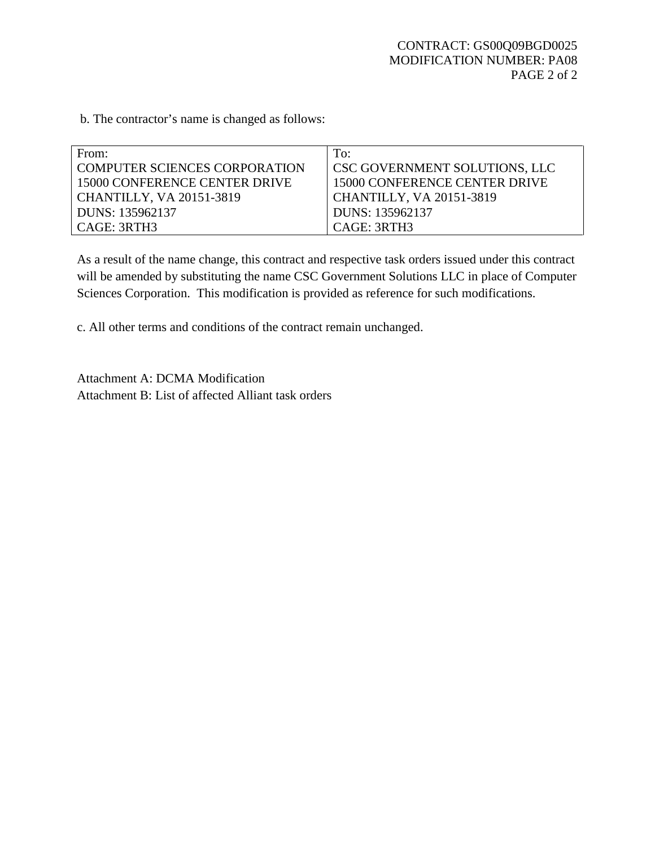b. The contractor's name is changed as follows:

| From:                          | To:                                  |
|--------------------------------|--------------------------------------|
| LCOMPUTER SCIENCES CORPORATION | <b>CSC GOVERNMENT SOLUTIONS, LLC</b> |
| 15000 CONFERENCE CENTER DRIVE  | 15000 CONFERENCE CENTER DRIVE        |
| CHANTILLY, VA 20151-3819       | <b>CHANTILLY, VA 20151-3819</b>      |
| DUNS: 135962137                | DUNS: 135962137                      |
| CAGE: 3RTH3                    | CAGE: 3RTH3                          |

As a result of the name change, this contract and respective task orders issued under this contract will be amended by substituting the name CSC Government Solutions LLC in place of Computer Sciences Corporation. This modification is provided as reference for such modifications.

c. All other terms and conditions of the contract remain unchanged.

Attachment A: DCMA Modification Attachment B: List of affected Alliant task orders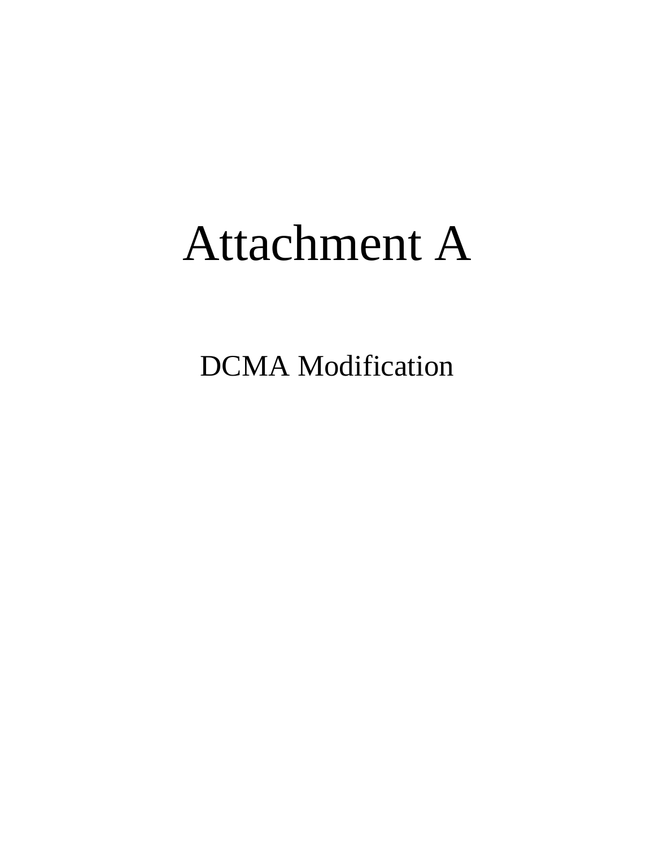## Attachment A

DCMA Modification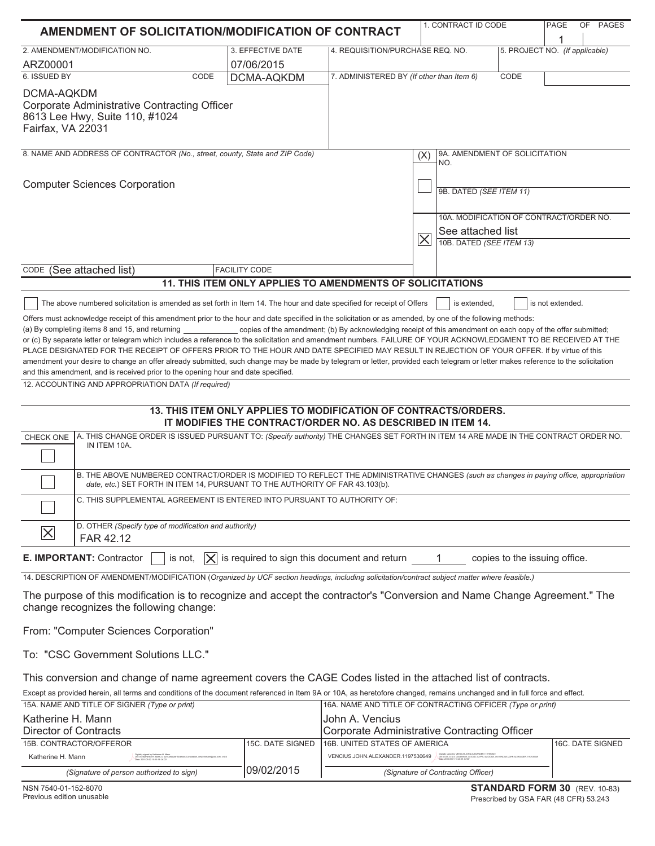| AMENDMENT OF SOLICITATION/MODIFICATION OF CONTRACT                   |                                                                                                                                                                                                                                                                                                                                                                                                                                                                                                                                                                                                                                                                                                                                                                                                                                                                                                                                                                                                                                                                                                                                                                                                                                                                                                                                                                                                      |                                                                                                                                                                                                                                                |                                                                    | 1. CONTRACT ID CODE                         | PAGE                          | OF PAGES |  |
|----------------------------------------------------------------------|------------------------------------------------------------------------------------------------------------------------------------------------------------------------------------------------------------------------------------------------------------------------------------------------------------------------------------------------------------------------------------------------------------------------------------------------------------------------------------------------------------------------------------------------------------------------------------------------------------------------------------------------------------------------------------------------------------------------------------------------------------------------------------------------------------------------------------------------------------------------------------------------------------------------------------------------------------------------------------------------------------------------------------------------------------------------------------------------------------------------------------------------------------------------------------------------------------------------------------------------------------------------------------------------------------------------------------------------------------------------------------------------------|------------------------------------------------------------------------------------------------------------------------------------------------------------------------------------------------------------------------------------------------|--------------------------------------------------------------------|---------------------------------------------|-------------------------------|----------|--|
|                                                                      |                                                                                                                                                                                                                                                                                                                                                                                                                                                                                                                                                                                                                                                                                                                                                                                                                                                                                                                                                                                                                                                                                                                                                                                                                                                                                                                                                                                                      |                                                                                                                                                                                                                                                |                                                                    |                                             |                               |          |  |
|                                                                      | 2. AMENDMENT/MODIFICATION NO.                                                                                                                                                                                                                                                                                                                                                                                                                                                                                                                                                                                                                                                                                                                                                                                                                                                                                                                                                                                                                                                                                                                                                                                                                                                                                                                                                                        | 3. EFFECTIVE DATE                                                                                                                                                                                                                              | 4. REQUISITION/PURCHASE REQ. NO.<br>5. PROJECT NO. (If applicable) |                                             |                               |          |  |
| ARZ00001<br>6. ISSUED BY                                             | CODE                                                                                                                                                                                                                                                                                                                                                                                                                                                                                                                                                                                                                                                                                                                                                                                                                                                                                                                                                                                                                                                                                                                                                                                                                                                                                                                                                                                                 | 07/06/2015<br><b>DCMA-AQKDM</b>                                                                                                                                                                                                                | 7. ADMINISTERED BY (If other than Item 6)                          |                                             | CODE                          |          |  |
|                                                                      |                                                                                                                                                                                                                                                                                                                                                                                                                                                                                                                                                                                                                                                                                                                                                                                                                                                                                                                                                                                                                                                                                                                                                                                                                                                                                                                                                                                                      |                                                                                                                                                                                                                                                |                                                                    |                                             |                               |          |  |
| DCMA-AQKDM<br>Fairfax, VA 22031                                      | <b>Corporate Administrative Contracting Officer</b><br>8613 Lee Hwy, Suite 110, #1024                                                                                                                                                                                                                                                                                                                                                                                                                                                                                                                                                                                                                                                                                                                                                                                                                                                                                                                                                                                                                                                                                                                                                                                                                                                                                                                |                                                                                                                                                                                                                                                |                                                                    |                                             |                               |          |  |
|                                                                      | 8. NAME AND ADDRESS OF CONTRACTOR (No., street, county, State and ZIP Code)                                                                                                                                                                                                                                                                                                                                                                                                                                                                                                                                                                                                                                                                                                                                                                                                                                                                                                                                                                                                                                                                                                                                                                                                                                                                                                                          |                                                                                                                                                                                                                                                |                                                                    | 9A. AMENDMENT OF SOLICITATION<br>(X)<br>NO. |                               |          |  |
| <b>Computer Sciences Corporation</b>                                 |                                                                                                                                                                                                                                                                                                                                                                                                                                                                                                                                                                                                                                                                                                                                                                                                                                                                                                                                                                                                                                                                                                                                                                                                                                                                                                                                                                                                      |                                                                                                                                                                                                                                                |                                                                    | 9B. DATED (SEE ITEM 11)                     |                               |          |  |
|                                                                      |                                                                                                                                                                                                                                                                                                                                                                                                                                                                                                                                                                                                                                                                                                                                                                                                                                                                                                                                                                                                                                                                                                                                                                                                                                                                                                                                                                                                      |                                                                                                                                                                                                                                                |                                                                    | 10A. MODIFICATION OF CONTRACT/ORDER NO.     |                               |          |  |
|                                                                      |                                                                                                                                                                                                                                                                                                                                                                                                                                                                                                                                                                                                                                                                                                                                                                                                                                                                                                                                                                                                                                                                                                                                                                                                                                                                                                                                                                                                      |                                                                                                                                                                                                                                                |                                                                    | See attached list                           |                               |          |  |
|                                                                      |                                                                                                                                                                                                                                                                                                                                                                                                                                                                                                                                                                                                                                                                                                                                                                                                                                                                                                                                                                                                                                                                                                                                                                                                                                                                                                                                                                                                      |                                                                                                                                                                                                                                                |                                                                    | $ \times $<br>10B. DATED (SEE ITEM 13)      |                               |          |  |
|                                                                      |                                                                                                                                                                                                                                                                                                                                                                                                                                                                                                                                                                                                                                                                                                                                                                                                                                                                                                                                                                                                                                                                                                                                                                                                                                                                                                                                                                                                      |                                                                                                                                                                                                                                                |                                                                    |                                             |                               |          |  |
|                                                                      | CODE (See attached list)                                                                                                                                                                                                                                                                                                                                                                                                                                                                                                                                                                                                                                                                                                                                                                                                                                                                                                                                                                                                                                                                                                                                                                                                                                                                                                                                                                             | <b>FACILITY CODE</b>                                                                                                                                                                                                                           |                                                                    |                                             |                               |          |  |
|                                                                      |                                                                                                                                                                                                                                                                                                                                                                                                                                                                                                                                                                                                                                                                                                                                                                                                                                                                                                                                                                                                                                                                                                                                                                                                                                                                                                                                                                                                      | 11. THIS ITEM ONLY APPLIES TO AMENDMENTS OF SOLICITATIONS                                                                                                                                                                                      |                                                                    |                                             |                               |          |  |
| CHECK ONE<br>$ \times$                                               | Offers must acknowledge receipt of this amendment prior to the hour and date specified in the solicitation or as amended, by one of the following methods:<br>(a) By completing items 8 and 15, and returning<br>or (c) By separate letter or telegram which includes a reference to the solicitation and amendment numbers. FAILURE OF YOUR ACKNOWLEDGMENT TO BE RECEIVED AT THE<br>PLACE DESIGNATED FOR THE RECEIPT OF OFFERS PRIOR TO THE HOUR AND DATE SPECIFIED MAY RESULT IN REJECTION OF YOUR OFFER. If by virtue of this<br>amendment your desire to change an offer already submitted, such change may be made by telegram or letter, provided each telegram or letter makes reference to the solicitation<br>and this amendment, and is received prior to the opening hour and date specified.<br>12. ACCOUNTING AND APPROPRIATION DATA (If required)<br>A. THIS CHANGE ORDER IS ISSUED PURSUANT TO: (Specify authority) THE CHANGES SET FORTH IN ITEM 14 ARE MADE IN THE CONTRACT ORDER NO.<br>IN ITEM 10A.<br>B. THE ABOVE NUMBERED CONTRACT/ORDER IS MODIFIED TO REFLECT THE ADMINISTRATIVE CHANGES (such as changes in paying office, appropriation<br>date, etc.) SET FORTH IN ITEM 14, PURSUANT TO THE AUTHORITY OF FAR 43.103(b).<br>C. THIS SUPPLEMENTAL AGREEMENT IS ENTERED INTO PURSUANT TO AUTHORITY OF:<br>D. OTHER (Specify type of modification and authority)<br>FAR 42.12 | copies of the amendment; (b) By acknowledging receipt of this amendment on each copy of the offer submitted;<br>13. THIS ITEM ONLY APPLIES TO MODIFICATION OF CONTRACTS/ORDERS.<br>IT MODIFIES THE CONTRACT/ORDER NO. AS DESCRIBED IN ITEM 14. |                                                                    |                                             |                               |          |  |
|                                                                      | E. IMPORTANT: Contractor<br>is not,<br>$ \times $                                                                                                                                                                                                                                                                                                                                                                                                                                                                                                                                                                                                                                                                                                                                                                                                                                                                                                                                                                                                                                                                                                                                                                                                                                                                                                                                                    | is required to sign this document and return                                                                                                                                                                                                   |                                                                    | 1.                                          | copies to the issuing office. |          |  |
|                                                                      | 14. DESCRIPTION OF AMENDMENT/MODIFICATION (Organized by UCF section headings, including solicitation/contract subject matter where feasible.)                                                                                                                                                                                                                                                                                                                                                                                                                                                                                                                                                                                                                                                                                                                                                                                                                                                                                                                                                                                                                                                                                                                                                                                                                                                        |                                                                                                                                                                                                                                                |                                                                    |                                             |                               |          |  |
|                                                                      | The purpose of this modification is to recognize and accept the contractor's "Conversion and Name Change Agreement." The<br>change recognizes the following change:                                                                                                                                                                                                                                                                                                                                                                                                                                                                                                                                                                                                                                                                                                                                                                                                                                                                                                                                                                                                                                                                                                                                                                                                                                  |                                                                                                                                                                                                                                                |                                                                    |                                             |                               |          |  |
|                                                                      | From: "Computer Sciences Corporation"                                                                                                                                                                                                                                                                                                                                                                                                                                                                                                                                                                                                                                                                                                                                                                                                                                                                                                                                                                                                                                                                                                                                                                                                                                                                                                                                                                |                                                                                                                                                                                                                                                |                                                                    |                                             |                               |          |  |
|                                                                      | To: "CSC Government Solutions LLC."                                                                                                                                                                                                                                                                                                                                                                                                                                                                                                                                                                                                                                                                                                                                                                                                                                                                                                                                                                                                                                                                                                                                                                                                                                                                                                                                                                  |                                                                                                                                                                                                                                                |                                                                    |                                             |                               |          |  |
|                                                                      | This conversion and change of name agreement covers the CAGE Codes listed in the attached list of contracts.                                                                                                                                                                                                                                                                                                                                                                                                                                                                                                                                                                                                                                                                                                                                                                                                                                                                                                                                                                                                                                                                                                                                                                                                                                                                                         |                                                                                                                                                                                                                                                |                                                                    |                                             |                               |          |  |
|                                                                      | Except as provided herein, all terms and conditions of the document referenced in Item 9A or 10A, as heretofore changed, remains unchanged and in full force and effect.<br>15A. NAME AND TITLE OF SIGNER (Type or print)                                                                                                                                                                                                                                                                                                                                                                                                                                                                                                                                                                                                                                                                                                                                                                                                                                                                                                                                                                                                                                                                                                                                                                            |                                                                                                                                                                                                                                                | 16A. NAME AND TITLE OF CONTRACTING OFFICER (Type or print)         |                                             |                               |          |  |
| Katherine H. Mann<br>John A. Vencius<br><b>Director of Contracts</b> |                                                                                                                                                                                                                                                                                                                                                                                                                                                                                                                                                                                                                                                                                                                                                                                                                                                                                                                                                                                                                                                                                                                                                                                                                                                                                                                                                                                                      |                                                                                                                                                                                                                                                | Corporate Administrative Contracting Officer                       |                                             |                               |          |  |

| <b>DIIUUUI UI UUIIUUUU</b>               |                                                                                                                                                                          |                   | $\sim$                             |                                                                                                                                                                                         |                   |  |
|------------------------------------------|--------------------------------------------------------------------------------------------------------------------------------------------------------------------------|-------------------|------------------------------------|-----------------------------------------------------------------------------------------------------------------------------------------------------------------------------------------|-------------------|--|
| 15B. CONTRACTOR/OFFEROR                  |                                                                                                                                                                          | 115C. DATE SIGNED | 16B. UNITED STATES OF AMERICA      |                                                                                                                                                                                         | 116C. DATE SIGNED |  |
| Katherine H. Mann                        | Jigitally signed by Katherine H. Mann<br>∴ DN: cn≈Katherine H. Mann, o, ou≈Computer Sciences Corporation, email≈kmann@cec.com, c=US<br>Date: 2015.09.02 15:23:19 -04'00" |                   | VENCIUS.JOHN.ALEXANDER.1197530649  | Eigitally signed by VENCIUS JOHN ALEXANDER 1197530549<br>BN: c=US, c=U.S. Government, ou=DoD, ou=PKI, ou=DCMA, cn=VENCIUS JOHN ALEXANDER.1197530549<br>THAI: 2015 00 01 13:40:30 Junior |                   |  |
| (Signature of person authorized to sign) |                                                                                                                                                                          | 109/02/2015       | (Signature of Contracting Officer) |                                                                                                                                                                                         |                   |  |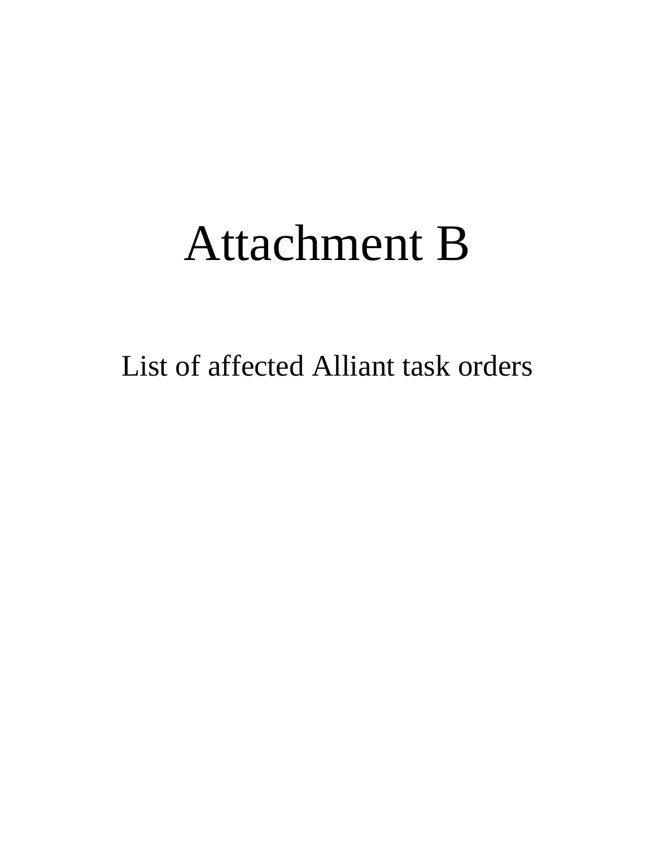## Attachment B

List of affected Alliant task orders